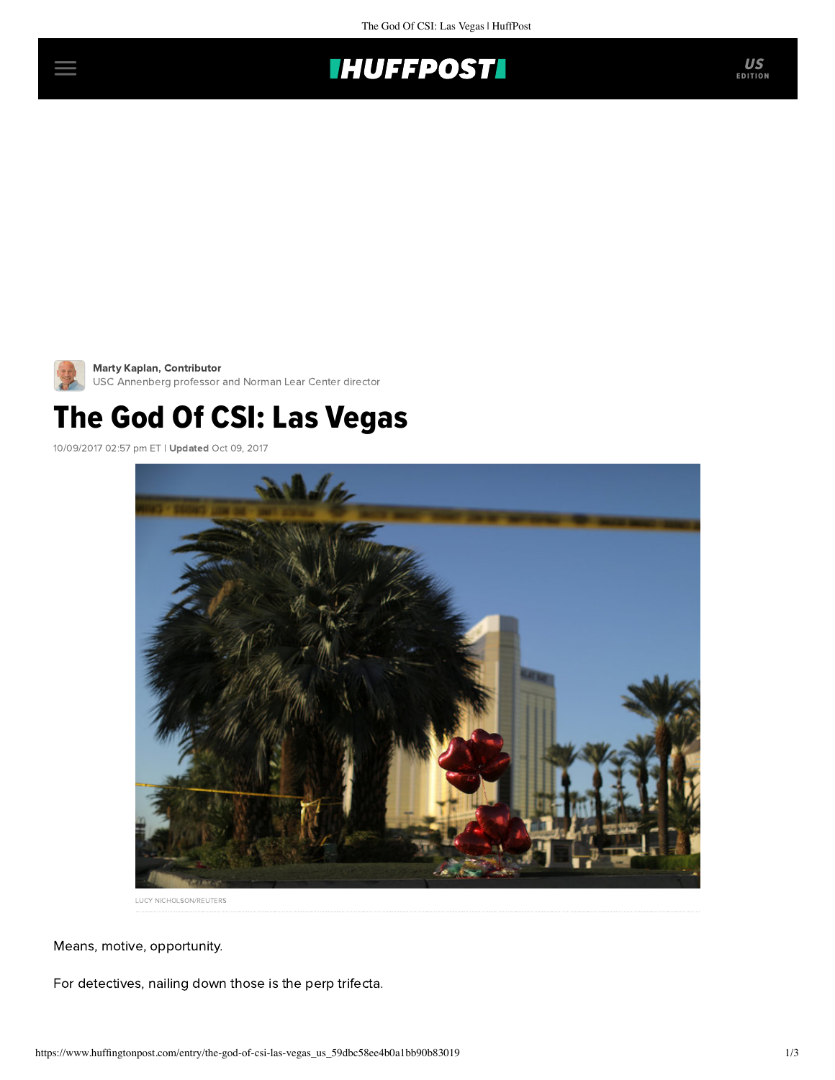



## [Marty Kaplan](https://www.huffingtonpost.com/author/marty-kaplan), Contributor

USC Annenberg professor and Norman Lear Center director

## The God Of CSI: Las Vegas

10/09/2017 02:57 pm ET | Updated Oct 09, 2017



LUCY NICHOLSON/REUTERS

Means, motive, opportunity.

For detectives, nailing down those is the perp trifecta.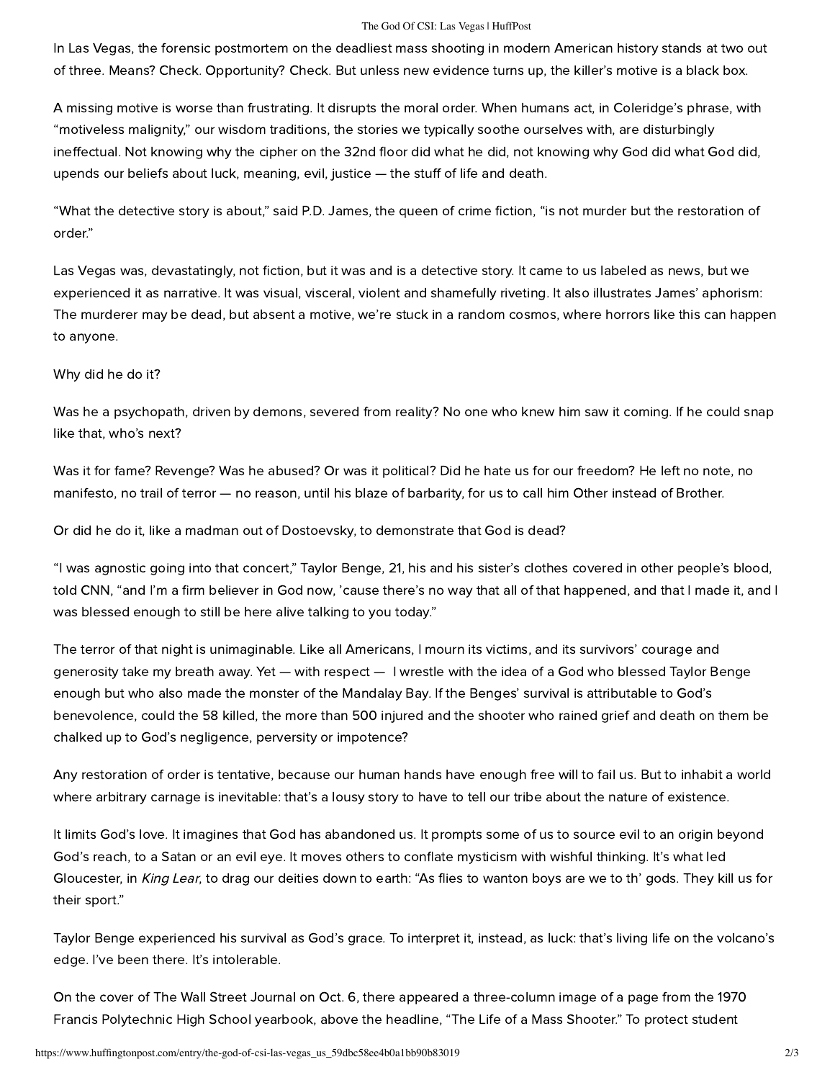## The God Of CSI: Las Vegas | HuffPost

In Las Vegas, the forensic postmortem on the deadliest mass shooting in modern American history stands at two out of three. Means? Check. Opportunity? Check. But unless new evidence turns up, the killer's motive is a black box.

A missing motive is worse than frustrating. It disrupts the moral order. When humans act, in Coleridge's phrase, with "motiveless malignity," our wisdom traditions, the stories we typically soothe ourselves with, are disturbingly ineffectual. Not knowing why the cipher on the 32nd floor did what he did, not knowing why God did what God did, upends our beliefs about luck, meaning, evil, justice — the stuff of life and death.

"What the detective story is about," said P.D. James, the queen of crime fiction, "is not murder but the restoration of order."

Las Vegas was, devastatingly, not fiction, but it was and is a detective story. It came to us labeled as news, but we experienced it as narrative. It was visual, visceral, violent and shamefully riveting. It also illustrates James' aphorism: The murderer may be dead, but absent a motive, we're stuck in a random cosmos, where horrors like this can happen to anyone.

## Why did he do it?

Was he a psychopath, driven by demons, severed from reality? No one who knew him saw it coming. If he could snap like that, who's next?

Was it for fame? Revenge? Was he abused? Or was it political? Did he hate us for our freedom? He left no note, no manifesto, no trail of terror — no reason, until his blaze of barbarity, for us to call him Other instead of Brother.

Or did he do it, like a madman out of Dostoevsky, to demonstrate that God is dead?

"I was agnostic going into that concert," Taylor Benge, 21, his and his sister's clothes covered in other people's blood, told CNN, "and I'm a firm believer in God now, 'cause there's no way that all of that happened, and that I made it, and I was blessed enough to still be here alive talking to you today."

The terror of that night is unimaginable. Like all Americans, I mourn its victims, and its survivors' courage and generosity take my breath away. Yet — with respect — I wrestle with the idea of a God who blessed Taylor Benge enough but who also made the monster of the Mandalay Bay. If the Benges' survival is attributable to God's benevolence, could the 58 killed, the more than 500 injured and the shooter who rained grief and death on them be chalked up to God's negligence, perversity or impotence?

Any restoration of order is tentative, because our human hands have enough free will to fail us. But to inhabit a world where arbitrary carnage is inevitable: that's a lousy story to have to tell our tribe about the nature of existence.

It limits God's love. It imagines that God has abandoned us. It prompts some of us to source evil to an origin beyond God's reach, to a Satan or an evil eye. It moves others to conflate mysticism with wishful thinking. It's what led Gloucester, in King Lear, to drag our deities down to earth: "As flies to wanton boys are we to th' gods. They kill us for their sport."

Taylor Benge experienced his survival as God's grace. To interpret it, instead, as luck: that's living life on the volcano's edge. I've been there. It's intolerable.

On the cover of The Wall Street Journal on Oct. 6, there appeared a three-column image of a page from the 1970 Francis Polytechnic High School yearbook, above the headline, "The Life of a Mass Shooter." To protect student